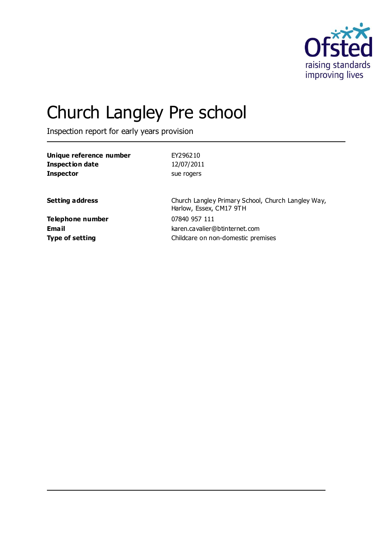

# Church Langley Pre school

Inspection report for early years provision

| Unique reference number | EY296210                                                                      |
|-------------------------|-------------------------------------------------------------------------------|
| <b>Inspection date</b>  | 12/07/2011                                                                    |
| <b>Inspector</b>        | sue rogers                                                                    |
| <b>Setting address</b>  | Church Langley Primary School, Church Langley Way,<br>Harlow, Essex, CM17 9TH |
| Telephone number        | 07840 957 111                                                                 |
| Email                   | karen.cavalier@btinternet.com                                                 |
| <b>Type of setting</b>  | Childcare on non-domestic premises                                            |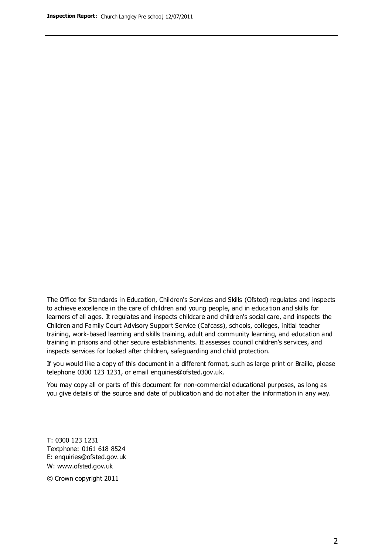The Office for Standards in Education, Children's Services and Skills (Ofsted) regulates and inspects to achieve excellence in the care of children and young people, and in education and skills for learners of all ages. It regulates and inspects childcare and children's social care, and inspects the Children and Family Court Advisory Support Service (Cafcass), schools, colleges, initial teacher training, work-based learning and skills training, adult and community learning, and education and training in prisons and other secure establishments. It assesses council children's services, and inspects services for looked after children, safeguarding and child protection.

If you would like a copy of this document in a different format, such as large print or Braille, please telephone 0300 123 1231, or email enquiries@ofsted.gov.uk.

You may copy all or parts of this document for non-commercial educational purposes, as long as you give details of the source and date of publication and do not alter the information in any way.

T: 0300 123 1231 Textphone: 0161 618 8524 E: enquiries@ofsted.gov.uk W: [www.ofsted.gov.uk](http://www.ofsted.gov.uk/)

© Crown copyright 2011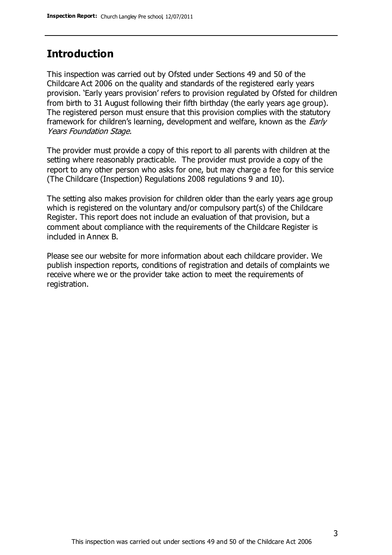## **Introduction**

This inspection was carried out by Ofsted under Sections 49 and 50 of the Childcare Act 2006 on the quality and standards of the registered early years provision. 'Early years provision' refers to provision regulated by Ofsted for children from birth to 31 August following their fifth birthday (the early years age group). The registered person must ensure that this provision complies with the statutory framework for children's learning, development and welfare, known as the *Early* Years Foundation Stage.

The provider must provide a copy of this report to all parents with children at the setting where reasonably practicable. The provider must provide a copy of the report to any other person who asks for one, but may charge a fee for this service (The Childcare (Inspection) Regulations 2008 regulations 9 and 10).

The setting also makes provision for children older than the early years age group which is registered on the voluntary and/or compulsory part(s) of the Childcare Register. This report does not include an evaluation of that provision, but a comment about compliance with the requirements of the Childcare Register is included in Annex B.

Please see our website for more information about each childcare provider. We publish inspection reports, conditions of registration and details of complaints we receive where we or the provider take action to meet the requirements of registration.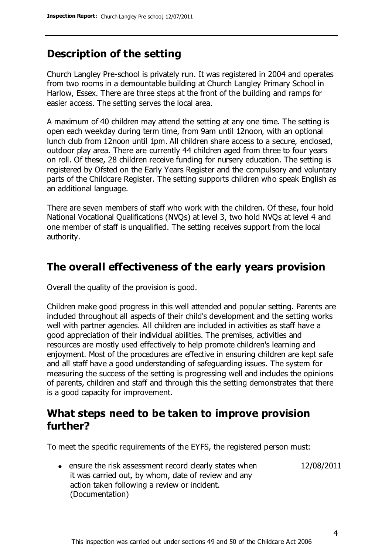# **Description of the setting**

Church Langley Pre-school is privately run. It was registered in 2004 and operates from two rooms in a demountable building at Church Langley Primary School in Harlow, Essex. There are three steps at the front of the building and ramps for easier access. The setting serves the local area.

A maximum of 40 children may attend the setting at any one time. The setting is open each weekday during term time, from 9am until 12noon, with an optional lunch club from 12noon until 1pm. All children share access to a secure, enclosed, outdoor play area. There are currently 44 children aged from three to four years on roll. Of these, 28 children receive funding for nursery education. The setting is registered by Ofsted on the Early Years Register and the compulsory and voluntary parts of the Childcare Register. The setting supports children who speak English as an additional language.

There are seven members of staff who work with the children. Of these, four hold National Vocational Qualifications (NVQs) at level 3, two hold NVQs at level 4 and one member of staff is unqualified. The setting receives support from the local authority.

## **The overall effectiveness of the early years provision**

Overall the quality of the provision is good.

Children make good progress in this well attended and popular setting. Parents are included throughout all aspects of their child's development and the setting works well with partner agencies. All children are included in activities as staff have a good appreciation of their individual abilities. The premises, activities and resources are mostly used effectively to help promote children's learning and enjoyment. Most of the procedures are effective in ensuring children are kept safe and all staff have a good understanding of safeguarding issues. The system for measuring the success of the setting is progressing well and includes the opinions of parents, children and staff and through this the setting demonstrates that there is a good capacity for improvement.

# **What steps need to be taken to improve provision further?**

To meet the specific requirements of the EYFS, the registered person must:

12/08/2011

• ensure the risk assessment record clearly states when it was carried out, by whom, date of review and any action taken following a review or incident. (Documentation)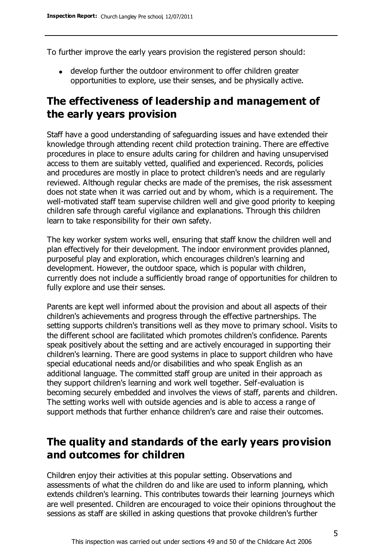To further improve the early years provision the registered person should:

develop further the outdoor environment to offer children greater opportunities to explore, use their senses, and be physically active.

# **The effectiveness of leadership and management of the early years provision**

Staff have a good understanding of safeguarding issues and have extended their knowledge through attending recent child protection training. There are effective procedures in place to ensure adults caring for children and having unsupervised access to them are suitably vetted, qualified and experienced. Records, policies and procedures are mostly in place to protect children's needs and are regularly reviewed. Although regular checks are made of the premises, the risk assessment does not state when it was carried out and by whom, which is a requirement. The well-motivated staff team supervise children well and give good priority to keeping children safe through careful vigilance and explanations. Through this children learn to take responsibility for their own safety.

The key worker system works well, ensuring that staff know the children well and plan effectively for their development. The indoor environment provides planned, purposeful play and exploration, which encourages children's learning and development. However, the outdoor space, which is popular with children, currently does not include a sufficiently broad range of opportunities for children to fully explore and use their senses.

Parents are kept well informed about the provision and about all aspects of their children's achievements and progress through the effective partnerships. The setting supports children's transitions well as they move to primary school. Visits to the different school are facilitated which promotes children's confidence. Parents speak positively about the setting and are actively encouraged in supporting their children's learning. There are good systems in place to support children who have special educational needs and/or disabilities and who speak English as an additional language. The committed staff group are united in their approach as they support children's learning and work well together. Self-evaluation is becoming securely embedded and involves the views of staff, parents and children. The setting works well with outside agencies and is able to access a range of support methods that further enhance children's care and raise their outcomes.

# **The quality and standards of the early years provision and outcomes for children**

Children enjoy their activities at this popular setting. Observations and assessments of what the children do and like are used to inform planning, which extends children's learning. This contributes towards their learning journeys which are well presented. Children are encouraged to voice their opinions throughout the sessions as staff are skilled in asking questions that provoke children's further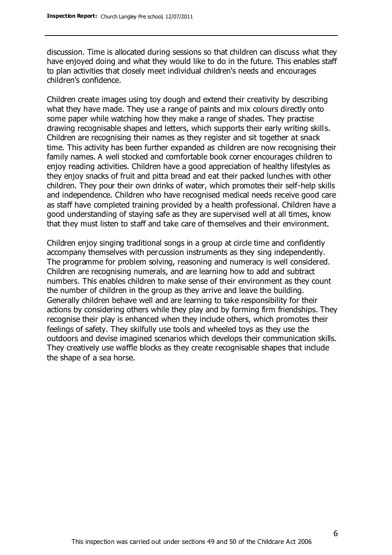discussion. Time is allocated during sessions so that children can discuss what they have enjoyed doing and what they would like to do in the future. This enables staff to plan activities that closely meet individual children's needs and encourages children's confidence.

Children create images using toy dough and extend their creativity by describing what they have made. They use a range of paints and mix colours directly onto some paper while watching how they make a range of shades. They practise drawing recognisable shapes and letters, which supports their early writing skills. Children are recognising their names as they register and sit together at snack time. This activity has been further expanded as children are now recognising their family names. A well stocked and comfortable book corner encourages children to enjoy reading activities. Children have a good appreciation of healthy lifestyles as they enjoy snacks of fruit and pitta bread and eat their packed lunches with other children. They pour their own drinks of water, which promotes their self-help skills and independence. Children who have recognised medical needs receive good care as staff have completed training provided by a health professional. Children have a good understanding of staying safe as they are supervised well at all times, know that they must listen to staff and take care of themselves and their environment.

Children enjoy singing traditional songs in a group at circle time and confidently accompany themselves with percussion instruments as they sing independently. The programme for problem solving, reasoning and numeracy is well considered. Children are recognising numerals, and are learning how to add and subtract numbers. This enables children to make sense of their environment as they count the number of children in the group as they arrive and leave the building. Generally children behave well and are learning to take responsibility for their actions by considering others while they play and by forming firm friendships. They recognise their play is enhanced when they include others, which promotes their feelings of safety. They skilfully use tools and wheeled toys as they use the outdoors and devise imagined scenarios which develops their communication skills. They creatively use waffle blocks as they create recognisable shapes that include the shape of a sea horse.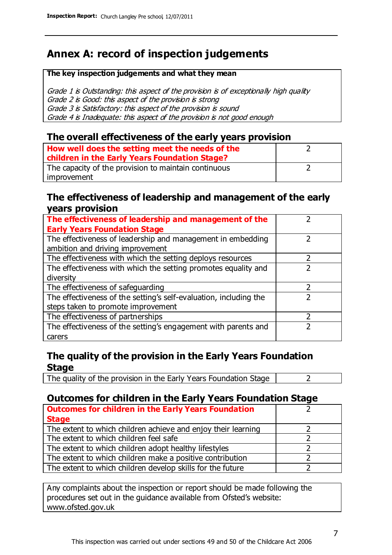# **Annex A: record of inspection judgements**

#### **The key inspection judgements and what they mean**

Grade 1 is Outstanding: this aspect of the provision is of exceptionally high quality Grade 2 is Good: this aspect of the provision is strong Grade 3 is Satisfactory: this aspect of the provision is sound Grade 4 is Inadequate: this aspect of the provision is not good enough

### **The overall effectiveness of the early years provision**

| How well does the setting meet the needs of the<br>children in the Early Years Foundation Stage? |  |
|--------------------------------------------------------------------------------------------------|--|
| The capacity of the provision to maintain continuous                                             |  |
| improvement                                                                                      |  |

### **The effectiveness of leadership and management of the early years provision**

| The effectiveness of leadership and management of the             |  |
|-------------------------------------------------------------------|--|
| <b>Early Years Foundation Stage</b>                               |  |
| The effectiveness of leadership and management in embedding       |  |
| ambition and driving improvement                                  |  |
| The effectiveness with which the setting deploys resources        |  |
| The effectiveness with which the setting promotes equality and    |  |
| diversity                                                         |  |
| The effectiveness of safeguarding                                 |  |
| The effectiveness of the setting's self-evaluation, including the |  |
| steps taken to promote improvement                                |  |
| The effectiveness of partnerships                                 |  |
| The effectiveness of the setting's engagement with parents and    |  |
| carers                                                            |  |

## **The quality of the provision in the Early Years Foundation Stage**

The quality of the provision in the Early Years Foundation Stage  $\vert$  2

## **Outcomes for children in the Early Years Foundation Stage**

| <b>Outcomes for children in the Early Years Foundation</b>    |  |
|---------------------------------------------------------------|--|
| <b>Stage</b>                                                  |  |
| The extent to which children achieve and enjoy their learning |  |
| The extent to which children feel safe                        |  |
| The extent to which children adopt healthy lifestyles         |  |
| The extent to which children make a positive contribution     |  |
| The extent to which children develop skills for the future    |  |

Any complaints about the inspection or report should be made following the procedures set out in the guidance available from Ofsted's website: www.ofsted.gov.uk